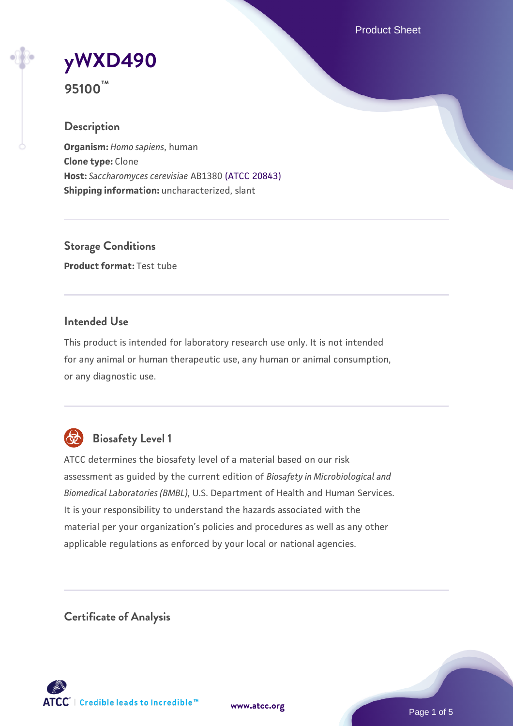Product Sheet

# **[yWXD490](https://www.atcc.org/products/95100)**

**95100™**

#### **Description**

**Organism:** *Homo sapiens*, human **Clone type:** Clone **Host:** *Saccharomyces cerevisiae* AB1380 [\(ATCC 20843\)](https://www.atcc.org/products/20843) **Shipping information:** uncharacterized, slant

**Storage Conditions Product format:** Test tube

#### **Intended Use**

This product is intended for laboratory research use only. It is not intended for any animal or human therapeutic use, any human or animal consumption, or any diagnostic use.



### **Biosafety Level 1**

ATCC determines the biosafety level of a material based on our risk assessment as guided by the current edition of *Biosafety in Microbiological and Biomedical Laboratories (BMBL)*, U.S. Department of Health and Human Services. It is your responsibility to understand the hazards associated with the material per your organization's policies and procedures as well as any other applicable regulations as enforced by your local or national agencies.

**Certificate of Analysis**

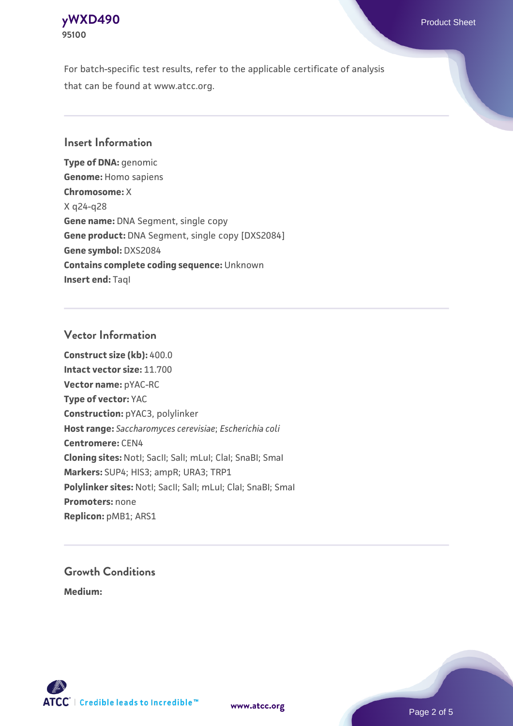

For batch-specific test results, refer to the applicable certificate of analysis that can be found at www.atcc.org.

#### **Insert Information**

**Type of DNA:** genomic **Genome:** Homo sapiens **Chromosome:** X X q24-q28 **Gene name:** DNA Segment, single copy **Gene product:** DNA Segment, single copy [DXS2084] **Gene symbol:** DXS2084 **Contains complete coding sequence:** Unknown **Insert end: Tagl** 

#### **Vector Information**

**Construct size (kb):** 400.0 **Intact vector size:** 11.700 **Vector name:** pYAC-RC **Type of vector:** YAC **Construction:** pYAC3, polylinker **Host range:** *Saccharomyces cerevisiae*; *Escherichia coli* **Centromere:** CEN4 **Cloning sites:** NotI; SacII; SalI; mLuI; ClaI; SnaBI; SmaI **Markers:** SUP4; HIS3; ampR; URA3; TRP1 Polylinker sites: Notl; SacII; SalI; mLuI; ClaI; SnaBI; SmaI **Promoters:** none **Replicon:** pMB1; ARS1

## **Growth Conditions**

**Medium:** 



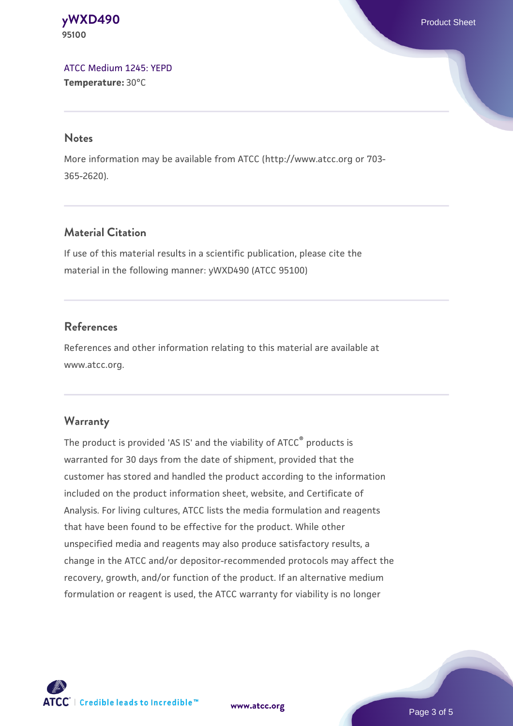**[yWXD490](https://www.atcc.org/products/95100)** Product Sheet **95100**

[ATCC Medium 1245: YEPD](https://www.atcc.org/-/media/product-assets/documents/microbial-media-formulations/1/2/4/5/atcc-medium-1245.pdf?rev=705ca55d1b6f490a808a965d5c072196) **Temperature:** 30°C

#### **Notes**

More information may be available from ATCC (http://www.atcc.org or 703- 365-2620).

#### **Material Citation**

If use of this material results in a scientific publication, please cite the material in the following manner: yWXD490 (ATCC 95100)

#### **References**

References and other information relating to this material are available at www.atcc.org.

#### **Warranty**

The product is provided 'AS IS' and the viability of ATCC® products is warranted for 30 days from the date of shipment, provided that the customer has stored and handled the product according to the information included on the product information sheet, website, and Certificate of Analysis. For living cultures, ATCC lists the media formulation and reagents that have been found to be effective for the product. While other unspecified media and reagents may also produce satisfactory results, a change in the ATCC and/or depositor-recommended protocols may affect the recovery, growth, and/or function of the product. If an alternative medium formulation or reagent is used, the ATCC warranty for viability is no longer



**[www.atcc.org](http://www.atcc.org)**

Page 3 of 5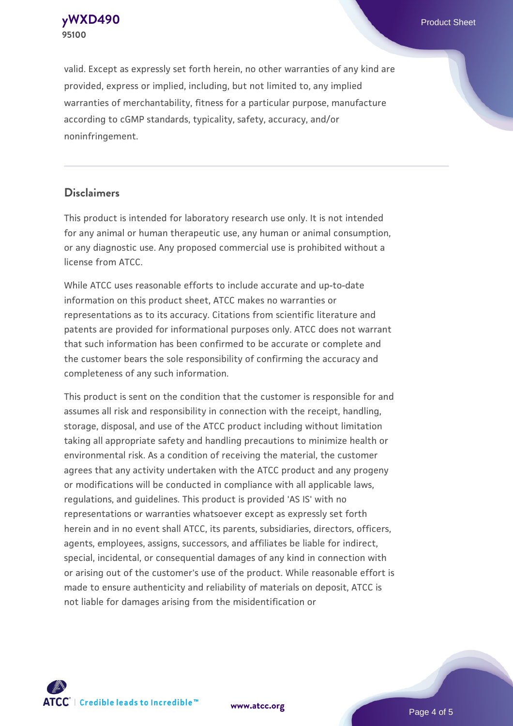**[yWXD490](https://www.atcc.org/products/95100)** Product Sheet **95100**

valid. Except as expressly set forth herein, no other warranties of any kind are provided, express or implied, including, but not limited to, any implied warranties of merchantability, fitness for a particular purpose, manufacture according to cGMP standards, typicality, safety, accuracy, and/or noninfringement.

#### **Disclaimers**

This product is intended for laboratory research use only. It is not intended for any animal or human therapeutic use, any human or animal consumption, or any diagnostic use. Any proposed commercial use is prohibited without a license from ATCC.

While ATCC uses reasonable efforts to include accurate and up-to-date information on this product sheet, ATCC makes no warranties or representations as to its accuracy. Citations from scientific literature and patents are provided for informational purposes only. ATCC does not warrant that such information has been confirmed to be accurate or complete and the customer bears the sole responsibility of confirming the accuracy and completeness of any such information.

This product is sent on the condition that the customer is responsible for and assumes all risk and responsibility in connection with the receipt, handling, storage, disposal, and use of the ATCC product including without limitation taking all appropriate safety and handling precautions to minimize health or environmental risk. As a condition of receiving the material, the customer agrees that any activity undertaken with the ATCC product and any progeny or modifications will be conducted in compliance with all applicable laws, regulations, and guidelines. This product is provided 'AS IS' with no representations or warranties whatsoever except as expressly set forth herein and in no event shall ATCC, its parents, subsidiaries, directors, officers, agents, employees, assigns, successors, and affiliates be liable for indirect, special, incidental, or consequential damages of any kind in connection with or arising out of the customer's use of the product. While reasonable effort is made to ensure authenticity and reliability of materials on deposit, ATCC is not liable for damages arising from the misidentification or



**[www.atcc.org](http://www.atcc.org)**

Page 4 of 5